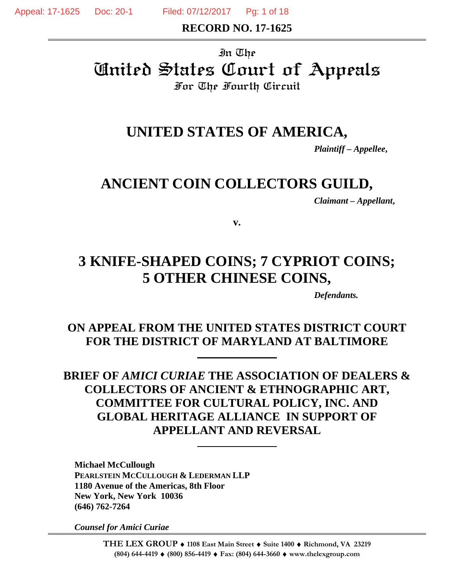Appeal: 17-1625 Doc: 20-1 Filed: 07/12/2017 Pg: 1 of 18

**RECORD NO. 17-1625** 

# In The United States Court of Appeals For The Fourth Circuit

# **UNITED STATES OF AMERICA,**

*Plaintiff – Appellee***,** 

# **ANCIENT COIN COLLECTORS GUILD,**

*Claimant – Appellant***,** 

**v.** 

# **3 KNIFE-SHAPED COINS; 7 CYPRIOT COINS; 5 OTHER CHINESE COINS,**

*Defendants.*

# **ON APPEAL FROM THE UNITED STATES DISTRICT COURT FOR THE DISTRICT OF MARYLAND AT BALTIMORE**

**BRIEF OF** *AMICI CURIAE* **THE ASSOCIATION OF DEALERS & COLLECTORS OF ANCIENT & ETHNOGRAPHIC ART, COMMITTEE FOR CULTURAL POLICY, INC. AND GLOBAL HERITAGE ALLIANCE IN SUPPORT OF APPELLANT AND REVERSAL** 

 **Michael McCullough PEARLSTEIN MCCULLOUGH & LEDERMAN LLP 1180 Avenue of the Americas, 8th Floor New York, New York 10036 (646) 762-7264** 

*Counsel for Amici Curiae*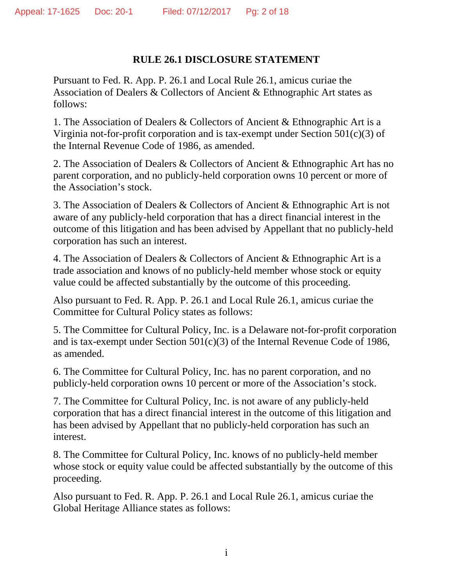## **RULE 26.1 DISCLOSURE STATEMENT**

Pursuant to Fed. R. App. P. 26.1 and Local Rule 26.1, amicus curiae the Association of Dealers & Collectors of Ancient & Ethnographic Art states as follows:

1. The Association of Dealers & Collectors of Ancient & Ethnographic Art is a Virginia not-for-profit corporation and is tax-exempt under Section 501(c)(3) of the Internal Revenue Code of 1986, as amended.

2. The Association of Dealers & Collectors of Ancient & Ethnographic Art has no parent corporation, and no publicly-held corporation owns 10 percent or more of the Association's stock.

3. The Association of Dealers & Collectors of Ancient & Ethnographic Art is not aware of any publicly-held corporation that has a direct financial interest in the outcome of this litigation and has been advised by Appellant that no publicly-held corporation has such an interest.

4. The Association of Dealers & Collectors of Ancient & Ethnographic Art is a trade association and knows of no publicly-held member whose stock or equity value could be affected substantially by the outcome of this proceeding.

Also pursuant to Fed. R. App. P. 26.1 and Local Rule 26.1, amicus curiae the Committee for Cultural Policy states as follows:

5. The Committee for Cultural Policy, Inc. is a Delaware not-for-profit corporation and is tax-exempt under Section 501(c)(3) of the Internal Revenue Code of 1986, as amended.

6. The Committee for Cultural Policy, Inc. has no parent corporation, and no publicly-held corporation owns 10 percent or more of the Association's stock.

7. The Committee for Cultural Policy, Inc. is not aware of any publicly-held corporation that has a direct financial interest in the outcome of this litigation and has been advised by Appellant that no publicly-held corporation has such an interest.

8. The Committee for Cultural Policy, Inc. knows of no publicly-held member whose stock or equity value could be affected substantially by the outcome of this proceeding.

Also pursuant to Fed. R. App. P. 26.1 and Local Rule 26.1, amicus curiae the Global Heritage Alliance states as follows: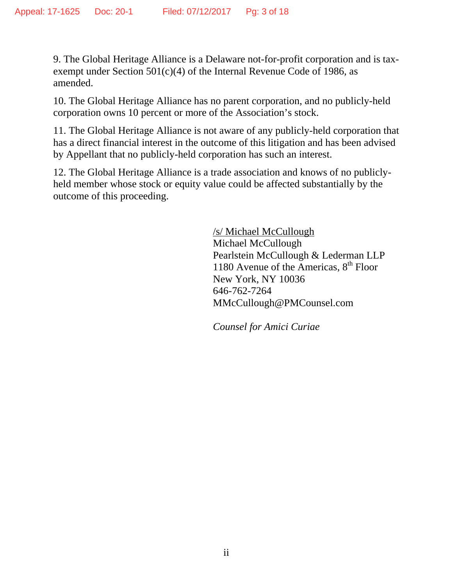9. The Global Heritage Alliance is a Delaware not-for-profit corporation and is taxexempt under Section 501(c)(4) of the Internal Revenue Code of 1986, as amended.

10. The Global Heritage Alliance has no parent corporation, and no publicly-held corporation owns 10 percent or more of the Association's stock.

11. The Global Heritage Alliance is not aware of any publicly-held corporation that has a direct financial interest in the outcome of this litigation and has been advised by Appellant that no publicly-held corporation has such an interest.

12. The Global Heritage Alliance is a trade association and knows of no publiclyheld member whose stock or equity value could be affected substantially by the outcome of this proceeding.

> /s/ Michael McCullough Michael McCullough Pearlstein McCullough & Lederman LLP 1180 Avenue of the Americas,  $8<sup>th</sup>$  Floor New York, NY 10036 646-762-7264 MMcCullough@PMCounsel.com

*Counsel for Amici Curiae*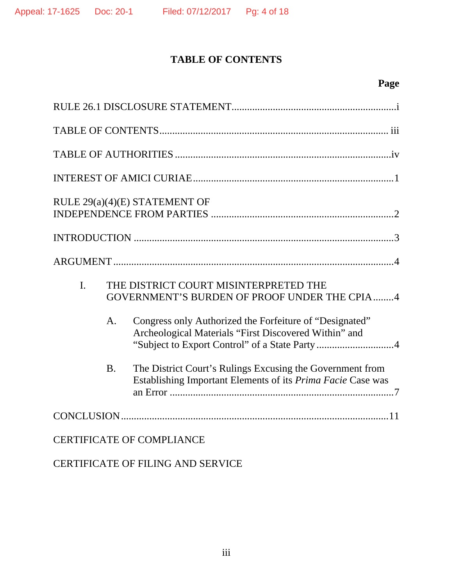# **TABLE OF CONTENTS**

| RULE 29(a)(4)(E) STATEMENT OF    |           |                                                                                                                          |  |
|----------------------------------|-----------|--------------------------------------------------------------------------------------------------------------------------|--|
|                                  |           |                                                                                                                          |  |
|                                  |           |                                                                                                                          |  |
| $\mathbf{I}$ .                   |           | THE DISTRICT COURT MISINTERPRETED THE<br>GOVERNMENT'S BURDEN OF PROOF UNDER THE CPIA 4                                   |  |
|                                  | A.        | Congress only Authorized the Forfeiture of "Designated"<br>Archeological Materials "First Discovered Within" and         |  |
|                                  | <b>B.</b> | The District Court's Rulings Excusing the Government from<br>Establishing Important Elements of its Prima Facie Case was |  |
|                                  |           |                                                                                                                          |  |
| <b>CERTIFICATE OF COMPLIANCE</b> |           |                                                                                                                          |  |

CERTIFICATE OF FILING AND SERVICE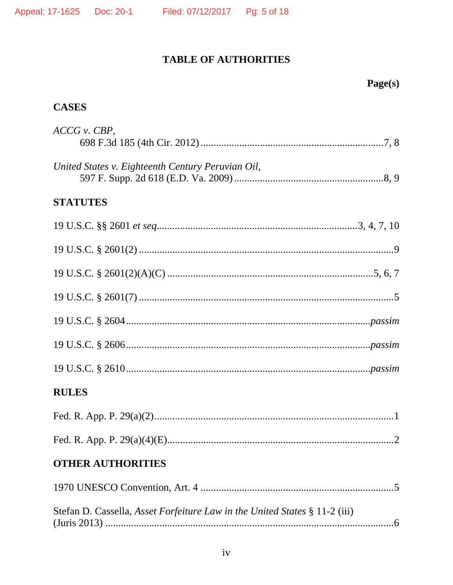# TABLE OF AUTHORITIES

# **CASES**

| ACCG v. CBP,                                                               |
|----------------------------------------------------------------------------|
| United States v. Eighteenth Century Peruvian Oil,                          |
| <b>STATUTES</b>                                                            |
|                                                                            |
|                                                                            |
|                                                                            |
|                                                                            |
|                                                                            |
|                                                                            |
|                                                                            |
| <b>RULES</b>                                                               |
|                                                                            |
|                                                                            |
| <b>OTHER AUTHORITIES</b>                                                   |
|                                                                            |
| Stefan D. Cassella, Asset Forfeiture Law in the United States § 11-2 (iii) |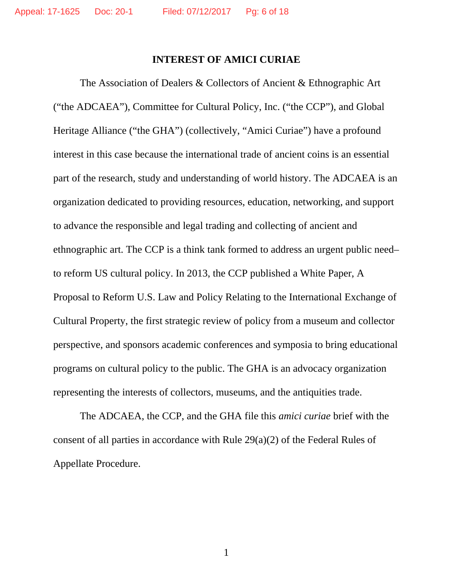#### **INTEREST OF AMICI CURIAE**

The Association of Dealers & Collectors of Ancient & Ethnographic Art ("the ADCAEA"), Committee for Cultural Policy, Inc. ("the CCP"), and Global Heritage Alliance ("the GHA") (collectively, "Amici Curiae") have a profound interest in this case because the international trade of ancient coins is an essential part of the research, study and understanding of world history. The ADCAEA is an organization dedicated to providing resources, education, networking, and support to advance the responsible and legal trading and collecting of ancient and ethnographic art. The CCP is a think tank formed to address an urgent public need– to reform US cultural policy. In 2013, the CCP published a White Paper, A Proposal to Reform U.S. Law and Policy Relating to the International Exchange of Cultural Property, the first strategic review of policy from a museum and collector perspective, and sponsors academic conferences and symposia to bring educational programs on cultural policy to the public. The GHA is an advocacy organization representing the interests of collectors, museums, and the antiquities trade.

The ADCAEA, the CCP, and the GHA file this *amici curiae* brief with the consent of all parties in accordance with Rule 29(a)(2) of the Federal Rules of Appellate Procedure.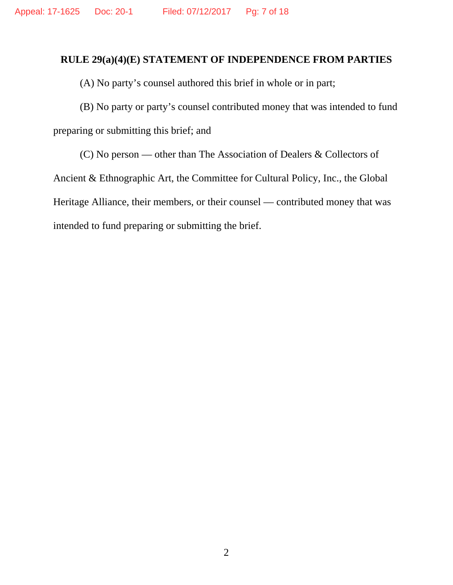#### **RULE 29(a)(4)(E) STATEMENT OF INDEPENDENCE FROM PARTIES**

(A) No party's counsel authored this brief in whole or in part;

(B) No party or party's counsel contributed money that was intended to fund preparing or submitting this brief; and

(C) No person — other than The Association of Dealers & Collectors of Ancient & Ethnographic Art, the Committee for Cultural Policy, Inc., the Global Heritage Alliance, their members, or their counsel — contributed money that was intended to fund preparing or submitting the brief.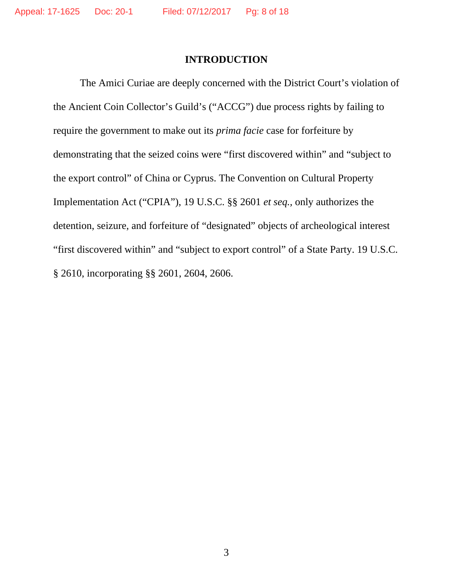#### **INTRODUCTION**

The Amici Curiae are deeply concerned with the District Court's violation of the Ancient Coin Collector's Guild's ("ACCG") due process rights by failing to require the government to make out its *prima facie* case for forfeiture by demonstrating that the seized coins were "first discovered within" and "subject to the export control" of China or Cyprus. The Convention on Cultural Property Implementation Act ("CPIA"), 19 U.S.C. §§ 2601 *et seq.,* only authorizes the detention, seizure, and forfeiture of "designated" objects of archeological interest "first discovered within" and "subject to export control" of a State Party. 19 U.S.C. § 2610, incorporating §§ 2601, 2604, 2606.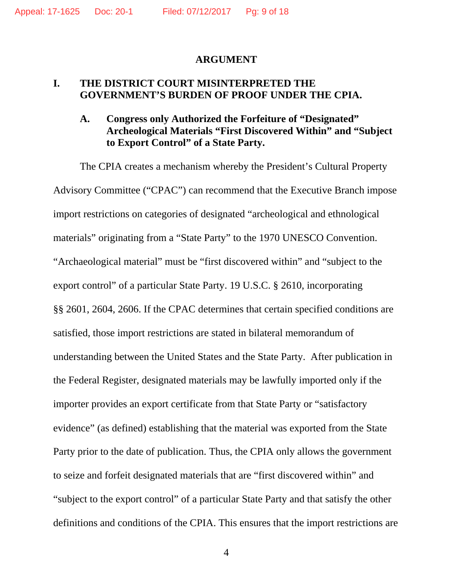#### **ARGUMENT**

#### **I. THE DISTRICT COURT MISINTERPRETED THE GOVERNMENT'S BURDEN OF PROOF UNDER THE CPIA.**

### **A. Congress only Authorized the Forfeiture of "Designated" Archeological Materials "First Discovered Within" and "Subject to Export Control" of a State Party.**

 The CPIA creates a mechanism whereby the President's Cultural Property Advisory Committee ("CPAC") can recommend that the Executive Branch impose import restrictions on categories of designated "archeological and ethnological materials" originating from a "State Party" to the 1970 UNESCO Convention. "Archaeological material" must be "first discovered within" and "subject to the export control" of a particular State Party. 19 U.S.C. § 2610, incorporating §§ 2601, 2604, 2606. If the CPAC determines that certain specified conditions are satisfied, those import restrictions are stated in bilateral memorandum of understanding between the United States and the State Party. After publication in the Federal Register, designated materials may be lawfully imported only if the importer provides an export certificate from that State Party or "satisfactory evidence" (as defined) establishing that the material was exported from the State Party prior to the date of publication. Thus, the CPIA only allows the government to seize and forfeit designated materials that are "first discovered within" and "subject to the export control" of a particular State Party and that satisfy the other definitions and conditions of the CPIA. This ensures that the import restrictions are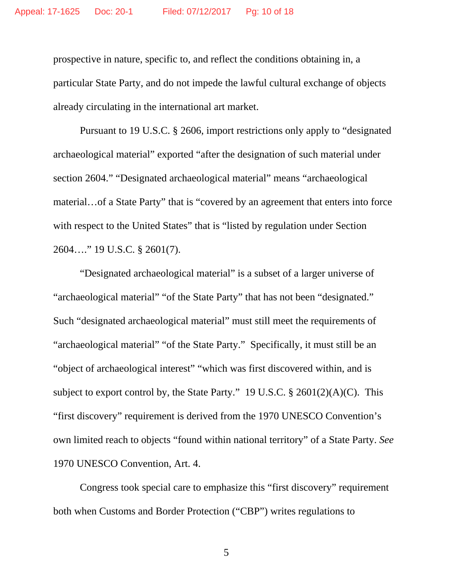prospective in nature, specific to, and reflect the conditions obtaining in, a particular State Party, and do not impede the lawful cultural exchange of objects already circulating in the international art market.

 Pursuant to 19 U.S.C. § 2606, import restrictions only apply to "designated archaeological material" exported "after the designation of such material under section 2604." "Designated archaeological material" means "archaeological material…of a State Party" that is "covered by an agreement that enters into force with respect to the United States" that is "listed by regulation under Section 2604…." 19 U.S.C. § 2601(7).

 "Designated archaeological material" is a subset of a larger universe of "archaeological material" "of the State Party" that has not been "designated." Such "designated archaeological material" must still meet the requirements of "archaeological material" "of the State Party." Specifically, it must still be an "object of archaeological interest" "which was first discovered within, and is subject to export control by, the State Party." 19 U.S.C.  $\S 2601(2)(A)(C)$ . This "first discovery" requirement is derived from the 1970 UNESCO Convention's own limited reach to objects "found within national territory" of a State Party. *See* 1970 UNESCO Convention, Art. 4.

 Congress took special care to emphasize this "first discovery" requirement both when Customs and Border Protection ("CBP") writes regulations to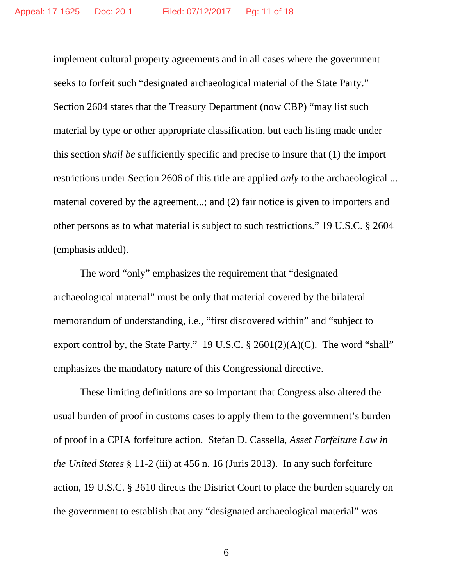implement cultural property agreements and in all cases where the government seeks to forfeit such "designated archaeological material of the State Party." Section 2604 states that the Treasury Department (now CBP) "may list such material by type or other appropriate classification, but each listing made under this section *shall be* sufficiently specific and precise to insure that (1) the import restrictions under Section 2606 of this title are applied *only* to the archaeological ... material covered by the agreement...; and (2) fair notice is given to importers and other persons as to what material is subject to such restrictions." 19 U.S.C. § 2604 (emphasis added).

 The word "only" emphasizes the requirement that "designated archaeological material" must be only that material covered by the bilateral memorandum of understanding, i.e., "first discovered within" and "subject to export control by, the State Party." 19 U.S.C.  $\S$  2601(2)(A)(C). The word "shall" emphasizes the mandatory nature of this Congressional directive.

 These limiting definitions are so important that Congress also altered the usual burden of proof in customs cases to apply them to the government's burden of proof in a CPIA forfeiture action. Stefan D. Cassella, *Asset Forfeiture Law in the United States* § 11-2 (iii) at 456 n. 16 (Juris 2013). In any such forfeiture action, 19 U.S.C. § 2610 directs the District Court to place the burden squarely on the government to establish that any "designated archaeological material" was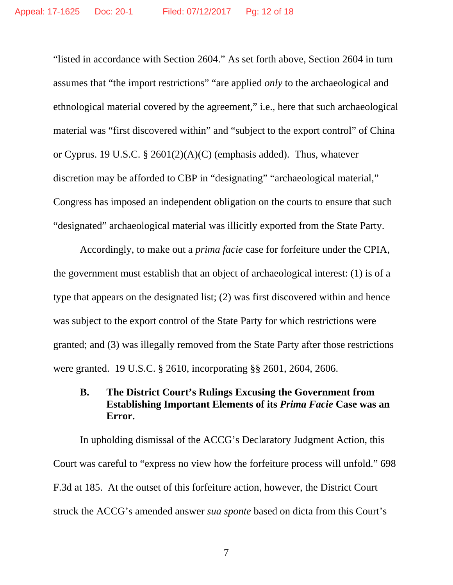"listed in accordance with Section 2604." As set forth above, Section 2604 in turn assumes that "the import restrictions" "are applied *only* to the archaeological and ethnological material covered by the agreement," i.e., here that such archaeological material was "first discovered within" and "subject to the export control" of China or Cyprus. 19 U.S.C. § 2601(2)(A)(C) (emphasis added). Thus, whatever discretion may be afforded to CBP in "designating" "archaeological material," Congress has imposed an independent obligation on the courts to ensure that such "designated" archaeological material was illicitly exported from the State Party.

 Accordingly, to make out a *prima facie* case for forfeiture under the CPIA, the government must establish that an object of archaeological interest: (1) is of a type that appears on the designated list; (2) was first discovered within and hence was subject to the export control of the State Party for which restrictions were granted; and (3) was illegally removed from the State Party after those restrictions were granted. 19 U.S.C. § 2610, incorporating §§ 2601, 2604, 2606.

#### **B. The District Court's Rulings Excusing the Government from Establishing Important Elements of its** *Prima Facie* **Case was an Error.**

In upholding dismissal of the ACCG's Declaratory Judgment Action, this Court was careful to "express no view how the forfeiture process will unfold." 698 F.3d at 185. At the outset of this forfeiture action, however, the District Court struck the ACCG's amended answer *sua sponte* based on dicta from this Court's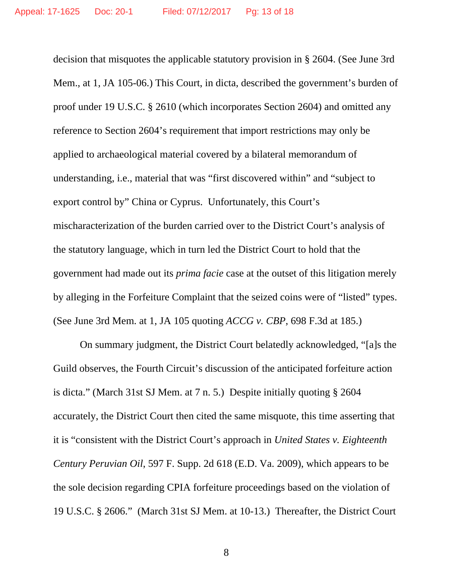decision that misquotes the applicable statutory provision in § 2604. (See June 3rd Mem., at 1, JA 105-06.) This Court, in dicta, described the government's burden of proof under 19 U.S.C. § 2610 (which incorporates Section 2604) and omitted any reference to Section 2604's requirement that import restrictions may only be applied to archaeological material covered by a bilateral memorandum of understanding, i.e., material that was "first discovered within" and "subject to export control by" China or Cyprus. Unfortunately, this Court's mischaracterization of the burden carried over to the District Court's analysis of the statutory language, which in turn led the District Court to hold that the government had made out its *prima facie* case at the outset of this litigation merely by alleging in the Forfeiture Complaint that the seized coins were of "listed" types. (See June 3rd Mem. at 1, JA 105 quoting *ACCG v. CBP*, 698 F.3d at 185.)

 On summary judgment, the District Court belatedly acknowledged, "[a]s the Guild observes, the Fourth Circuit's discussion of the anticipated forfeiture action is dicta." (March 31st SJ Mem. at 7 n. 5.) Despite initially quoting § 2604 accurately, the District Court then cited the same misquote, this time asserting that it is "consistent with the District Court's approach in *United States v. Eighteenth Century Peruvian Oil*, 597 F. Supp. 2d 618 (E.D. Va. 2009), which appears to be the sole decision regarding CPIA forfeiture proceedings based on the violation of 19 U.S.C. § 2606." (March 31st SJ Mem. at 10-13.) Thereafter, the District Court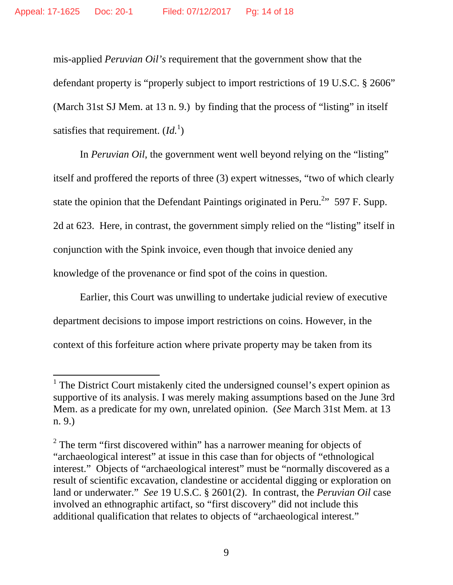mis-applied *Peruvian Oil's* requirement that the government show that the defendant property is "properly subject to import restrictions of 19 U.S.C. § 2606" (March 31st SJ Mem. at 13 n. 9.) by finding that the process of "listing" in itself satisfies that requirement.  $(Id<sup>1</sup>)$ 

 In *Peruvian Oil*, the government went well beyond relying on the "listing" itself and proffered the reports of three (3) expert witnesses, "two of which clearly state the opinion that the Defendant Paintings originated in Peru.<sup>2</sup><sup>3</sup>, 597 F. Supp. 2d at 623. Here, in contrast, the government simply relied on the "listing" itself in conjunction with the Spink invoice, even though that invoice denied any knowledge of the provenance or find spot of the coins in question.

 Earlier, this Court was unwilling to undertake judicial review of executive department decisions to impose import restrictions on coins. However, in the context of this forfeiture action where private property may be taken from its

<sup>&</sup>lt;sup>1</sup> The District Court mistakenly cited the undersigned counsel's expert opinion as supportive of its analysis. I was merely making assumptions based on the June 3rd Mem. as a predicate for my own, unrelated opinion. (*See* March 31st Mem. at 13 n. 9.)

 $2^2$  The term "first discovered within" has a narrower meaning for objects of "archaeological interest" at issue in this case than for objects of "ethnological interest." Objects of "archaeological interest" must be "normally discovered as a result of scientific excavation, clandestine or accidental digging or exploration on land or underwater." *See* 19 U.S.C. § 2601(2). In contrast, the *Peruvian Oil* case involved an ethnographic artifact, so "first discovery" did not include this additional qualification that relates to objects of "archaeological interest."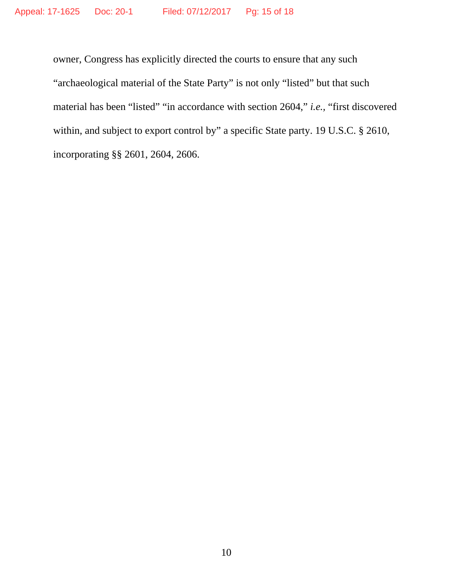owner, Congress has explicitly directed the courts to ensure that any such "archaeological material of the State Party" is not only "listed" but that such material has been "listed" "in accordance with section 2604," *i.e.,* "first discovered within, and subject to export control by" a specific State party. 19 U.S.C. § 2610, incorporating §§ 2601, 2604, 2606.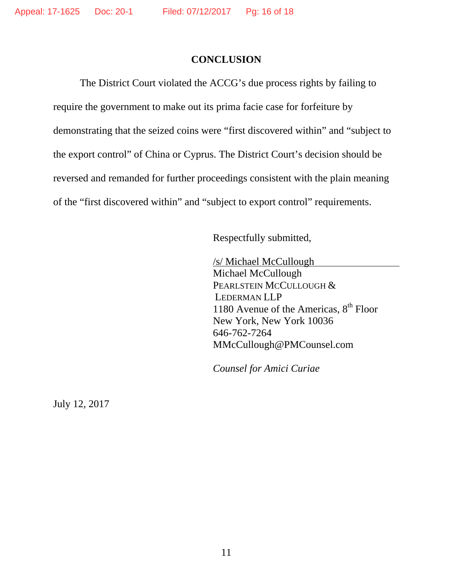#### **CONCLUSION**

The District Court violated the ACCG's due process rights by failing to require the government to make out its prima facie case for forfeiture by demonstrating that the seized coins were "first discovered within" and "subject to the export control" of China or Cyprus. The District Court's decision should be reversed and remanded for further proceedings consistent with the plain meaning of the "first discovered within" and "subject to export control" requirements.

Respectfully submitted,

/s/ Michael McCullough Michael McCullough PEARLSTEIN MCCULLOUGH & LEDERMAN LLP 1180 Avenue of the Americas,  $8<sup>th</sup>$  Floor New York, New York 10036 646-762-7264 MMcCullough@PMCounsel.com

*Counsel for Amici Curiae* 

July 12, 2017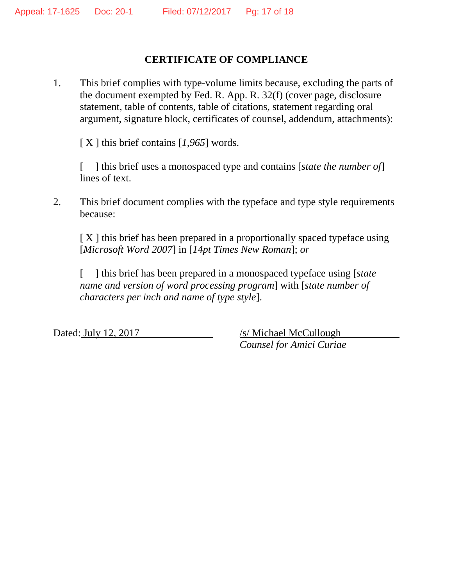## **CERTIFICATE OF COMPLIANCE**

1. This brief complies with type-volume limits because, excluding the parts of the document exempted by Fed. R. App. R. 32(f) (cover page, disclosure statement, table of contents, table of citations, statement regarding oral argument, signature block, certificates of counsel, addendum, attachments):

[ X ] this brief contains [1,965] words.

[ ] this brief uses a monospaced type and contains [*state the number of*] lines of text.

2. This brief document complies with the typeface and type style requirements because:

[ X ] this brief has been prepared in a proportionally spaced typeface using [*Microsoft Word 2007*] in [*14pt Times New Roman*]; *or* 

[ ] this brief has been prepared in a monospaced typeface using [*state name and version of word processing program*] with [*state number of characters per inch and name of type style*].

Dated: July 12, 2017 /s/ Michael McCullough *Counsel for Amici Curiae*